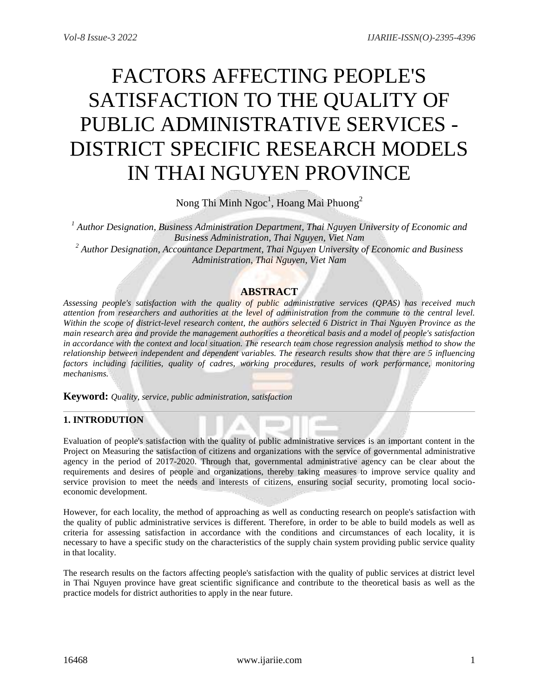# FACTORS AFFECTING PEOPLE'S SATISFACTION TO THE QUALITY OF PUBLIC ADMINISTRATIVE SERVICES - DISTRICT SPECIFIC RESEARCH MODELS IN THAI NGUYEN PROVINCE

Nong Thi Minh Ngoc<sup>1</sup>, Hoang Mai Phuong<sup>2</sup>

*<sup>1</sup> Author Designation, Business Administration Department, Thai Nguyen University of Economic and Business Administration, Thai Nguyen, Viet Nam <sup>2</sup> Author Designation, Accountance Department, Thai Nguyen University of Economic and Business Administration, Thai Nguyen, Viet Nam*

# **ABSTRACT**

*Assessing people's satisfaction with the quality of public administrative services (QPAS) has received much attention from researchers and authorities at the level of administration from the commune to the central level. Within the scope of district-level research content, the authors selected 6 District in Thai Nguyen Province as the main research area and provide the management authorities a theoretical basis and a model of people's satisfaction*  in accordance with the context and local situation. The research team chose regression analysis method to show the *relationship between independent and dependent variables. The research results show that there are 5 influencing factors including facilities, quality of cadres, working procedures, results of work performance, monitoring mechanisms.*

**Keyword:** *Quality, service, public administration, satisfaction*

# **1. INTRODUTION**

Evaluation of people's satisfaction with the quality of public administrative services is an important content in the Project on Measuring the satisfaction of citizens and organizations with the service of governmental administrative agency in the period of 2017-2020. Through that, governmental administrative agency can be clear about the requirements and desires of people and organizations, thereby taking measures to improve service quality and service provision to meet the needs and interests of citizens, ensuring social security, promoting local socioeconomic development.

However, for each locality, the method of approaching as well as conducting research on people's satisfaction with the quality of public administrative services is different. Therefore, in order to be able to build models as well as criteria for assessing satisfaction in accordance with the conditions and circumstances of each locality, it is necessary to have a specific study on the characteristics of the supply chain system providing public service quality in that locality.

The research results on the factors affecting people's satisfaction with the quality of public services at district level in Thai Nguyen province have great scientific significance and contribute to the theoretical basis as well as the practice models for district authorities to apply in the near future.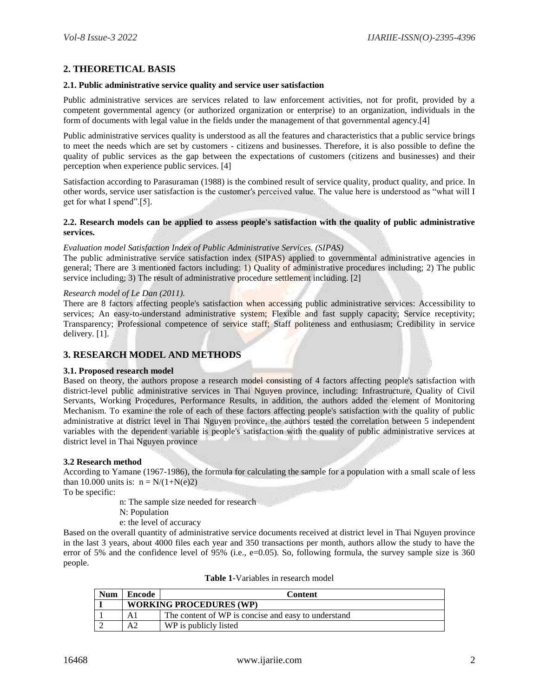# **2. THEORETICAL BASIS**

## **2.1. Public administrative service quality and service user satisfaction**

Public administrative services are services related to law enforcement activities, not for profit, provided by a competent governmental agency (or authorized organization or enterprise) to an organization, individuals in the form of documents with legal value in the fields under the management of that governmental agency.[4]

Public administrative services quality is understood as all the features and characteristics that a public service brings to meet the needs which are set by customers - citizens and businesses. Therefore, it is also possible to define the quality of public services as the gap between the expectations of customers (citizens and businesses) and their perception when experience public services. [4]

Satisfaction according to Parasuraman (1988) is the combined result of service quality, product quality, and price. In other words, service user satisfaction is the customer's perceived value. The value here is understood as "what will I get for what I spend".[5].

## **2.2. Research models can be applied to assess people's satisfaction with the quality of public administrative services.**

#### *Evaluation model Satisfaction Index of Public Administrative Services. (SIPAS)*

The public administrative service satisfaction index (SIPAS) applied to governmental administrative agencies in general; There are 3 mentioned factors including: 1) Quality of administrative procedures including; 2) The public service including; 3) The result of administrative procedure settlement including. [2]

#### *Research model of Le Dan (2011).*

There are 8 factors affecting people's satisfaction when accessing public administrative services: Accessibility to services; An easy-to-understand administrative system; Flexible and fast supply capacity; Service receptivity; Transparency; Professional competence of service staff; Staff politeness and enthusiasm; Credibility in service delivery. [1].

## **3. RESEARCH MODEL AND METHODS**

#### **3.1. Proposed research model**

Based on theory, the authors propose a research model consisting of 4 factors affecting people's satisfaction with district-level public administrative services in Thai Nguyen province, including: Infrastructure, Quality of Civil Servants, Working Procedures, Performance Results, in addition, the authors added the element of Monitoring Mechanism. To examine the role of each of these factors affecting people's satisfaction with the quality of public administrative at district level in Thai Nguyen province, the authors tested the correlation between 5 independent variables with the dependent variable is people's satisfaction with the quality of public administrative services at district level in Thai Nguyen province

## **3.2 Research method**

According to Yamane (1967-1986), the formula for calculating the sample for a population with a small scale of less than 10.000 units is:  $n = N/(1+N(e)2)$ 

To be specific:

n: The sample size needed for research

N: Population

e: the level of accuracy

Based on the overall quantity of administrative service documents received at district level in Thai Nguyen province in the last 3 years, about 4000 files each year and 350 transactions per month, authors allow the study to have the error of 5% and the confidence level of 95% (i.e.,  $e=0.05$ ). So, following formula, the survey sample size is 360 people.

| <b>Num</b> | Encode                         | Content                                             |
|------------|--------------------------------|-----------------------------------------------------|
|            | <b>WORKING PROCEDURES (WP)</b> |                                                     |
|            | ΑI                             | The content of WP is concise and easy to understand |
|            | A2                             | WP is publicly listed                               |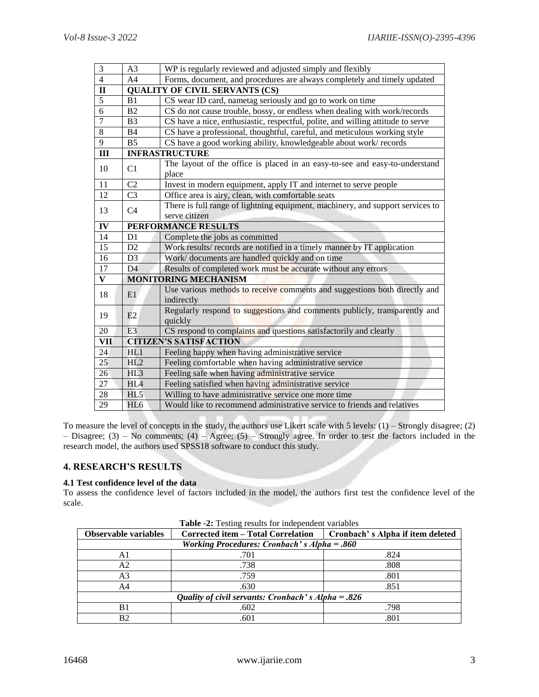| $\overline{3}$ | A <sub>3</sub>                | WP is regularly reviewed and adjusted simply and flexibly                               |  |  |
|----------------|-------------------------------|-----------------------------------------------------------------------------------------|--|--|
| $\overline{4}$ | A <sub>4</sub>                | Forms, document, and procedures are always completely and timely updated                |  |  |
| $\mathbf{I}$   |                               | <b>QUALITY OF CIVIL SERVANTS (CS)</b>                                                   |  |  |
| $\overline{5}$ | B <sub>1</sub>                | CS wear ID card, nametag seriously and go to work on time                               |  |  |
| 6              | B <sub>2</sub>                | CS do not cause trouble, bossy, or endless when dealing with work/records               |  |  |
| $\overline{7}$ | B <sub>3</sub>                | CS have a nice, enthusiastic, respectful, polite, and willing attitude to serve         |  |  |
| 8              | <b>B4</b>                     | CS have a professional, thoughtful, careful, and meticulous working style               |  |  |
| 9              | B <sub>5</sub>                | CS have a good working ability, knowledgeable about work/records                        |  |  |
| III            |                               | <b>INFRASTRUCTURE</b>                                                                   |  |  |
| 10             | C1                            | The layout of the office is placed in an easy-to-see and easy-to-understand<br>place    |  |  |
| 11             | C <sub>2</sub>                | Invest in modern equipment, apply IT and internet to serve people                       |  |  |
| 12             | C <sub>3</sub>                | Office area is airy, clean, with comfortable seats                                      |  |  |
|                |                               | There is full range of lightning equipment, machinery, and support services to          |  |  |
| 13             | C <sub>4</sub>                | serve citizen                                                                           |  |  |
| IV             | PERFORMANCE RESULTS           |                                                                                         |  |  |
| 14             | D <sub>1</sub>                | Complete the jobs as committed                                                          |  |  |
| 15             | D <sub>2</sub>                | Work results/records are notified in a timely manner by IT application                  |  |  |
| 16             | D <sub>3</sub>                | Work/documents are handled quickly and on time                                          |  |  |
| 17             | D <sub>4</sub>                | Results of completed work must be accurate without any errors                           |  |  |
| ${\bf V}$      |                               | <b>MONITORING MECHANISM</b>                                                             |  |  |
| 18             | E1                            | Use various methods to receive comments and suggestions both directly and<br>indirectly |  |  |
| 19             | E2                            | Regularly respond to suggestions and comments publicly, transparently and<br>quickly    |  |  |
| 20             | E <sub>3</sub>                | CS respond to complaints and questions satisfactorily and clearly                       |  |  |
| VII            | <b>CITIZEN'S SATISFACTION</b> |                                                                                         |  |  |
| 24             | HL1                           | Feeling happy when having administrative service                                        |  |  |
| 25             | HL2                           | Feeling comfortable when having administrative service                                  |  |  |
| 26             | HL3                           | Feeling safe when having administrative service                                         |  |  |
| 27             | HL4                           | Feeling satisfied when having administrative service                                    |  |  |
| 28             | HL5                           | Willing to have administrative service one more time                                    |  |  |
| 29             | HL <sub>6</sub>               | Would like to recommend administrative service to friends and relatives                 |  |  |

To measure the level of concepts in the study, the authors use Likert scale with 5 levels: (1) – Strongly disagree; (2) – Disagree; (3) – No comments; (4) – Agree; (5) – Strongly agree. In order to test the factors included in the research model, the authors used SPSS18 software to conduct this study.

# **4. RESEARCH'S RESULTS**

## **4.1 Test confidence level of the data**

To assess the confidence level of factors included in the model, the authors first test the confidence level of the scale.

| <b>Observable variables</b>                          | <b>Corrected item – Total Correlation</b> | Cronbach's Alpha if item deleted |  |
|------------------------------------------------------|-------------------------------------------|----------------------------------|--|
| Working Procedures: Cronbach's Alpha = $.860$        |                                           |                                  |  |
| A1                                                   | .701                                      | .824                             |  |
| A2                                                   | .738                                      | .808                             |  |
| A <sub>3</sub>                                       | .759                                      | .801                             |  |
| A4                                                   | .630                                      | .851                             |  |
| Quality of civil servants: Cronbach's Alpha = $.826$ |                                           |                                  |  |
| B1                                                   | .602                                      | .798                             |  |
| B2                                                   | .601                                      | .801                             |  |

**Table -2:** Testing results for independent variables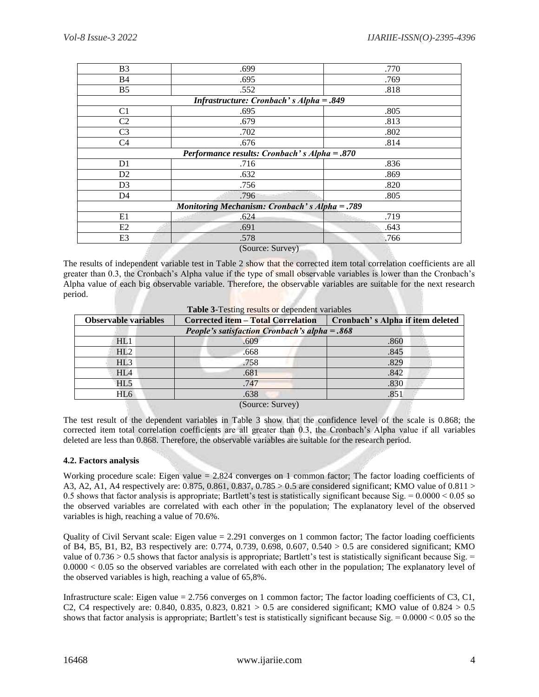| B <sub>3</sub>                                       | .699                                    | .770 |  |
|------------------------------------------------------|-----------------------------------------|------|--|
| <b>B4</b>                                            | .695                                    | .769 |  |
| B <sub>5</sub>                                       | .552                                    | .818 |  |
|                                                      | Infrastructure: Cronbach's Alpha = .849 |      |  |
| C1                                                   | .695                                    | .805 |  |
| C <sub>2</sub>                                       | .679                                    | .813 |  |
| C <sub>3</sub>                                       | .702                                    | .802 |  |
| C4                                                   | .676                                    | .814 |  |
| Performance results: Cronbach's Alpha = .870         |                                         |      |  |
| D1                                                   | .716                                    | .836 |  |
| D2                                                   | .632                                    | .869 |  |
| D <sub>3</sub>                                       | .756                                    | .820 |  |
| D <sub>4</sub>                                       | .796                                    | .805 |  |
| <b>Monitoring Mechanism: Cronbach's Alpha = .789</b> |                                         |      |  |
| E1                                                   | .624                                    | .719 |  |
| E <sub>2</sub>                                       | .691                                    | .643 |  |
| E <sub>3</sub>                                       | .578<br>$\sim$<br>$\sim$<br>$\sim$      | .766 |  |

(Source: Survey)

The results of independent variable test in Table 2 show that the corrected item total correlation coefficients are all greater than 0.3, the Cronbach's Alpha value if the type of small observable variables is lower than the Cronbach's Alpha value of each big observable variable. Therefore, the observable variables are suitable for the next research period.

**Table 3-**Testing results or dependent variables

| <b>Observable variables</b>                          | <b>Corrected item – Total Correlation</b> | Cronbach's Alpha if item deleted |  |
|------------------------------------------------------|-------------------------------------------|----------------------------------|--|
| <b>People's satisfaction Cronbach's alpha = .868</b> |                                           |                                  |  |
| HL1                                                  | .609                                      | .860                             |  |
| HL2                                                  | .668                                      | .845                             |  |
| HL3                                                  | .758                                      | .829                             |  |
| HL4                                                  | .681                                      | .842                             |  |
| HL5                                                  | .747                                      | .830                             |  |
| HL <sub>6</sub>                                      | .638                                      | .851                             |  |
|                                                      | (Source: Survey)                          |                                  |  |

The test result of the dependent variables in Table 3 show that the confidence level of the scale is 0.868; the corrected item total correlation coefficients are all greater than 0.3, the Cronbach's Alpha value if all variables deleted are less than 0.868. Therefore, the observable variables are suitable for the research period.

# **4.2. Factors analysis**

Working procedure scale: Eigen value = 2.824 converges on 1 common factor; The factor loading coefficients of A3, A2, A1, A4 respectively are: 0.875, 0.861, 0.837, 0.785 > 0.5 are considered significant; KMO value of 0.811 > 0.5 shows that factor analysis is appropriate; Bartlett's test is statistically significant because  $Sig = 0.0000 < 0.05$  so the observed variables are correlated with each other in the population; The explanatory level of the observed variables is high, reaching a value of 70.6%.

Quality of Civil Servant scale: Eigen value  $= 2.291$  converges on 1 common factor; The factor loading coefficients of B4, B5, B1, B2, B3 respectively are: 0.774, 0.739, 0.698, 0.607, 0.540 > 0.5 are considered significant; KMO value of  $0.736 > 0.5$  shows that factor analysis is appropriate; Bartlett's test is statistically significant because Sig. =  $0.0000 < 0.05$  so the observed variables are correlated with each other in the population; The explanatory level of the observed variables is high, reaching a value of 65,8%.

Infrastructure scale: Eigen value =  $2.756$  converges on 1 common factor; The factor loading coefficients of C3, C1, C2, C4 respectively are: 0.840, 0.835, 0.823, 0.821 > 0.5 are considered significant; KMO value of  $0.824 > 0.5$ shows that factor analysis is appropriate; Bartlett's test is statistically significant because  $Sig = 0.0000 < 0.05$  so the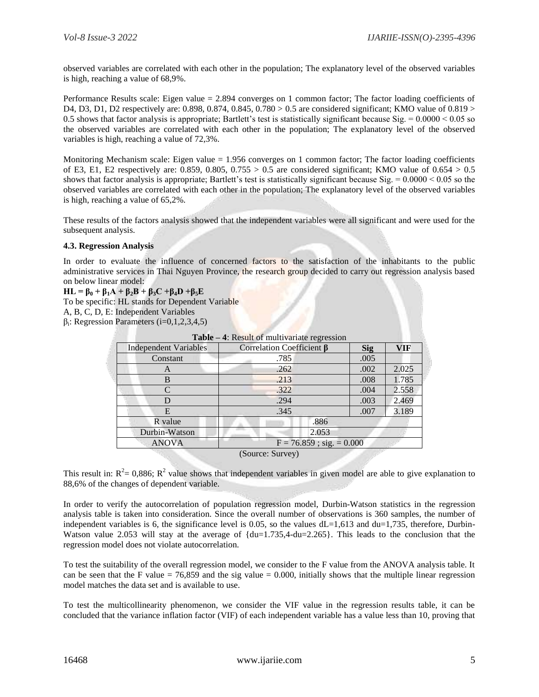observed variables are correlated with each other in the population; The explanatory level of the observed variables is high, reaching a value of 68,9%.

Performance Results scale: Eigen value = 2.894 converges on 1 common factor; The factor loading coefficients of D4, D3, D1, D2 respectively are: 0.898, 0.874, 0.845, 0.780 > 0.5 are considered significant; KMO value of 0.819 > 0.5 shows that factor analysis is appropriate; Bartlett's test is statistically significant because  $Sig = 0.0000 < 0.05$  so the observed variables are correlated with each other in the population; The explanatory level of the observed variables is high, reaching a value of 72,3%.

Monitoring Mechanism scale: Eigen value = 1.956 converges on 1 common factor; The factor loading coefficients of E3, E1, E2 respectively are: 0.859, 0.805,  $0.755 > 0.5$  are considered significant; KMO value of  $0.654 > 0.5$ shows that factor analysis is appropriate; Bartlett's test is statistically significant because  $Sig = 0.0000 < 0.05$  so the observed variables are correlated with each other in the population; The explanatory level of the observed variables is high, reaching a value of 65,2%.

These results of the factors analysis showed that the independent variables were all significant and were used for the subsequent analysis.

## **4.3. Regression Analysis**

In order to evaluate the influence of concerned factors to the satisfaction of the inhabitants to the public administrative services in Thai Nguyen Province, the research group decided to carry out regression analysis based on below linear model:

## $H L = \beta_0 + \beta_1 A + \beta_2 B + \beta_3 C + \beta_4 D + \beta_5 E$

To be specific: HL stands for Dependent Variable

A, B, C, D, E: Independent Variables

 $\beta_i$ : Regression Parameters (i=0,1,2,3,4,5)

| <b>Independent Variables</b> | Correlation Coefficient $\beta$ | <b>Sig</b> | VIF   |
|------------------------------|---------------------------------|------------|-------|
| Constant                     | .785                            | .005       |       |
| A                            | .262                            | .002       | 2.025 |
| B                            | .213                            | .008       | 1.785 |
|                              | .322                            | .004       | 2.558 |
|                              | .294                            | .003       | 2.469 |
| E                            | .345                            | .007       | 3.189 |
| R value                      | .886                            |            |       |
| Durbin-Watson                | 2.053                           |            |       |
| <b>ANOVA</b>                 | $F = 76.859$ ; sig. = 0.000     |            |       |
|                              | (Source: Survey)                |            |       |

| Table – 4: Result of multivariate regression |  |
|----------------------------------------------|--|
|                                              |  |

This result in:  $R^2 = 0.886$ ;  $R^2$  value shows that independent variables in given model are able to give explanation to 88,6% of the changes of dependent variable.

In order to verify the autocorrelation of population regression model, Durbin-Watson statistics in the regression analysis table is taken into consideration. Since the overall number of observations is 360 samples, the number of independent variables is 6, the significance level is 0.05, so the values  $dL=1,613$  and  $du=1,735$ , therefore, Durbin-Watson value 2.053 will stay at the average of  $\{du=1.735,4-du=2.265\}$ . This leads to the conclusion that the regression model does not violate autocorrelation.

To test the suitability of the overall regression model, we consider to the F value from the ANOVA analysis table. It can be seen that the F value =  $76,859$  and the sig value = 0.000, initially shows that the multiple linear regression model matches the data set and is available to use.

To test the multicollinearity phenomenon, we consider the VIF value in the regression results table, it can be concluded that the variance inflation factor (VIF) of each independent variable has a value less than 10, proving that